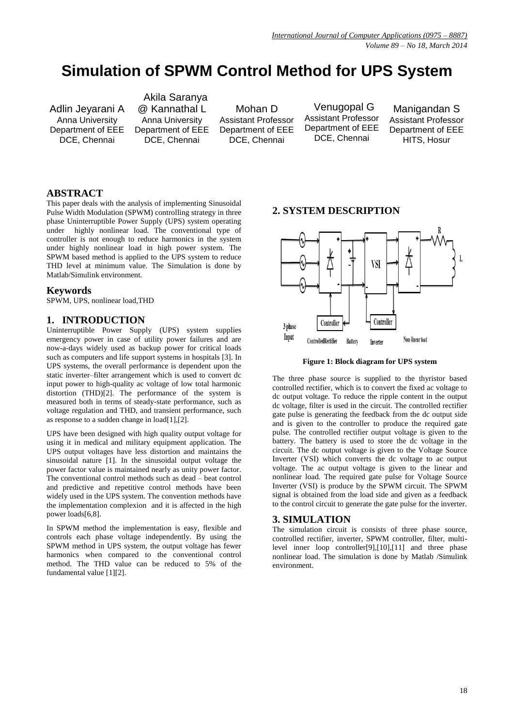# **Simulation of SPWM Control Method for UPS System**

Adlin Jeyarani A Anna University Department of EEE DCE, Chennai

 Akila Saranya @ Kannathal L Anna University Department of EEE DCE, Chennai

Mohan D Assistant Professor Department of EEE DCE, Chennai

 Venugopal G Assistant Professor Department of EEE DCE, Chennai

Manigandan S Assistant Professor Department of EEE HITS, Hosur

### **ABSTRACT**

This paper deals with the analysis of implementing Sinusoidal Pulse Width Modulation (SPWM) controlling strategy in three phase Uninterruptible Power Supply (UPS) system operating under highly nonlinear load. The conventional type of controller is not enough to reduce harmonics in the system under highly nonlinear load in high power system. The SPWM based method is applied to the UPS system to reduce THD level at minimum value. The Simulation is done by Matlab/Simulink environment.

#### **Keywords**

SPWM, UPS, nonlinear load,THD

### **1. INTRODUCTION**

Uninterruptible Power Supply (UPS) system supplies emergency power in case of utility power failures and are now-a-days widely used as backup power for critical loads such as computers and life support systems in hospitals [3]. In UPS systems, the overall performance is dependent upon the static inverter–filter arrangement which is used to convert dc input power to high-quality ac voltage of low total harmonic distortion (THD)[2]. The performance of the system is measured both in terms of steady-state performance, such as voltage regulation and THD, and transient performance, such as response to a sudden change in load[1],[2].

UPS have been designed with high quality output voltage for using it in medical and military equipment application. The UPS output voltages have less distortion and maintains the sinusoidal nature [1]. In the sinusoidal output voltage the power factor value is maintained nearly as unity power factor. The conventional control methods such as dead – beat control and predictive and repetitive control methods have been widely used in the UPS system. The convention methods have the implementation complexion and it is affected in the high power loads[6,8].

In SPWM method the implementation is easy, flexible and controls each phase voltage independently. By using the SPWM method in UPS system, the output voltage has fewer harmonics when compared to the conventional control method. The THD value can be reduced to 5% of the fundamental value [1][2].

## **2. SYSTEM DESCRIPTION**



**Figure 1: Block diagram for UPS system**

The three phase source is supplied to the thyristor based controlled rectifier, which is to convert the fixed ac voltage to dc output voltage. To reduce the ripple content in the output dc voltage, filter is used in the circuit. The controlled rectifier gate pulse is generating the feedback from the dc output side and is given to the controller to produce the required gate pulse. The controlled rectifier output voltage is given to the battery. The battery is used to store the dc voltage in the circuit. The dc output voltage is given to the Voltage Source Inverter (VSI) which converts the dc voltage to ac output voltage. The ac output voltage is given to the linear and nonlinear load. The required gate pulse for Voltage Source Inverter (VSI) is produce by the SPWM circuit. The SPWM signal is obtained from the load side and given as a feedback to the control circuit to generate the gate pulse for the inverter.

#### **3. SIMULATION**

The simulation circuit is consists of three phase source, controlled rectifier, inverter, SPWM controller, filter, multilevel inner loop controller[9],[10],[11] and three phase nonlinear load. The simulation is done by Matlab /Simulink environment.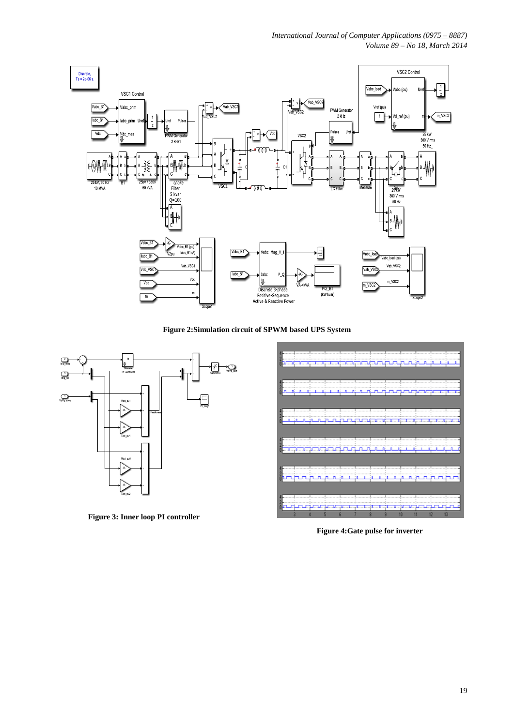*Volume 89 – No 18, March 2014*



**Figure 2:Simulation circuit of SPWM based UPS System**



**Figure 3: Inner loop PI controller**



**Figure 4:Gate pulse for inverter**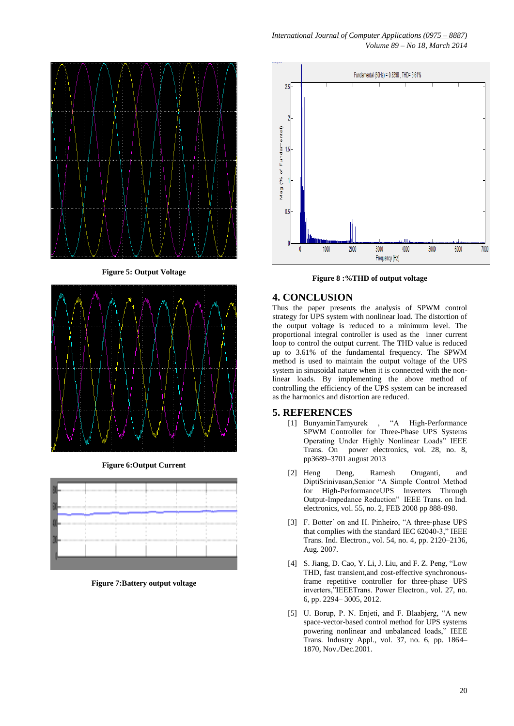

**Figure 5: Output Voltage**



**Figure 6:Output Current** 



**Figure 7:Battery output voltage**

*Volume 89 – No 18, March 2014*



**Figure 8 :%THD of output voltage**

## **4. CONCLUSION**

Thus the paper presents the analysis of SPWM control strategy for UPS system with nonlinear load. The distortion of the output voltage is reduced to a minimum level. The proportional integral controller is used as the inner current loop to control the output current. The THD value is reduced up to 3.61% of the fundamental frequency. The SPWM method is used to maintain the output voltage of the UPS system in sinusoidal nature when it is connected with the nonlinear loads. By implementing the above method of controlling the efficiency of the UPS system can be increased as the harmonics and distortion are reduced.

### **5. REFERENCES**

- [1] BunyaminTamyurek , "A High-Performance SPWM Controller for Three-Phase UPS Systems Operating Under Highly Nonlinear Loads" IEEE Trans. On power electronics, vol. 28, no. 8, pp3689–3701 august 2013
- [2] Heng Deng, Ramesh Oruganti, and DiptiSrinivasan,Senior "A Simple Control Method for High-PerformanceUPS Inverters Through Output-Impedance Reduction" IEEE Trans. on Ind. electronics, vol. 55, no. 2, FEB 2008 pp 888-898.
- [3] F. Botter' on and H. Pinheiro, "A three-phase UPS that complies with the standard IEC  $62040-3$ ," IEEE Trans. Ind. Electron., vol. 54, no. 4, pp. 2120–2136, Aug. 2007.
- [4] S. Jiang, D. Cao, Y. Li, J. Liu, and F. Z. Peng, "Low THD, fast transient,and cost-effective synchronousframe repetitive controller for three-phase UPS inverters,"IEEETrans. Power Electron., vol. 27, no. 6, pp. 2294– 3005, 2012.
- [5] U. Borup, P. N. Enjeti, and F. Blaabjerg, "A new space-vector-based control method for UPS systems powering nonlinear and unbalanced loads," IEEE Trans. Industry Appl., vol. 37, no. 6, pp. 1864– 1870, Nov./Dec.2001.